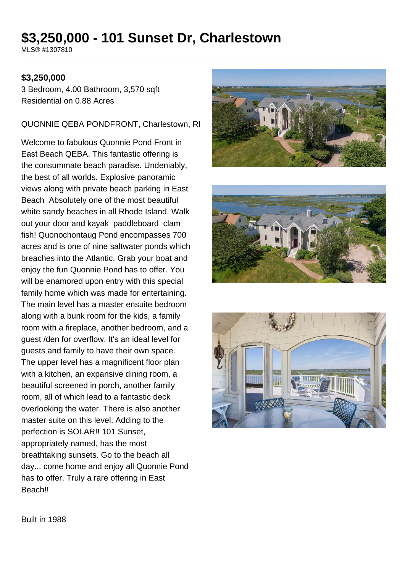# **\$3,250,000 - 101 Sunset Dr, Charlestown**

MLS® #1307810

#### **\$3,250,000**

3 Bedroom, 4.00 Bathroom, 3,570 sqft Residential on 0.88 Acres

#### QUONNIE QEBA PONDFRONT, Charlestown, RI

Welcome to fabulous Quonnie Pond Front in East Beach QEBA. This fantastic offering is the consummate beach paradise. Undeniably, the best of all worlds. Explosive panoramic views along with private beach parking in East Beach Absolutely one of the most beautiful white sandy beaches in all Rhode Island. Walk out your door and kayak paddleboard clam fish! Quonochontaug Pond encompasses 700 acres and is one of nine saltwater ponds which breaches into the Atlantic. Grab your boat and enjoy the fun Quonnie Pond has to offer. You will be enamored upon entry with this special family home which was made for entertaining. The main level has a master ensuite bedroom along with a bunk room for the kids, a family room with a fireplace, another bedroom, and a guest /den for overflow. It's an ideal level for guests and family to have their own space. The upper level has a magnificent floor plan with a kitchen, an expansive dining room, a beautiful screened in porch, another family room, all of which lead to a fantastic deck overlooking the water. There is also another master suite on this level. Adding to the perfection is SOLAR!! 101 Sunset, appropriately named, has the most breathtaking sunsets. Go to the beach all day... come home and enjoy all Quonnie Pond has to offer. Truly a rare offering in East Beach!!







Built in 1988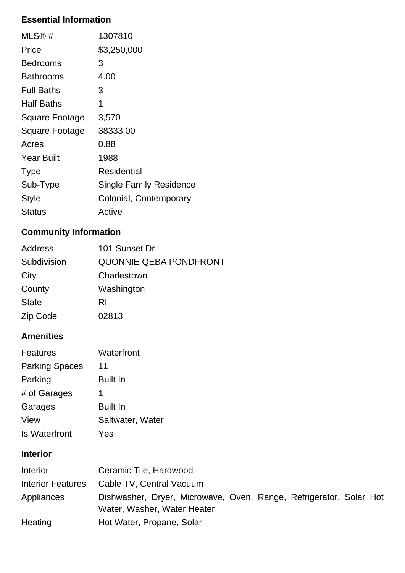## **Essential Information**

| $MLS@$ #              | 1307810                        |
|-----------------------|--------------------------------|
| Price                 | \$3,250,000                    |
| <b>Bedrooms</b>       | 3                              |
| Bathrooms             | 4.00                           |
| <b>Full Baths</b>     | 3                              |
| <b>Half Baths</b>     | 1                              |
| Square Footage        | 3,570                          |
| <b>Square Footage</b> | 38333.00                       |
| Acres                 | 0.88                           |
| <b>Year Built</b>     | 1988                           |
| <b>Type</b>           | Residential                    |
| Sub-Type              | <b>Single Family Residence</b> |
| <b>Style</b>          | Colonial, Contemporary         |
| Status                | Active                         |

## **Community Information**

| Address      | 101 Sunset Dr                 |
|--------------|-------------------------------|
| Subdivision  | <b>QUONNIE QEBA PONDFRONT</b> |
| City         | Charlestown                   |
| County       | Washington                    |
| <b>State</b> | RI                            |
| Zip Code     | 02813                         |

### **Amenities**

| <b>Features</b>       | Waterfront       |
|-----------------------|------------------|
| <b>Parking Spaces</b> | 11               |
| Parking               | <b>Built In</b>  |
| # of Garages          | 1                |
| Garages               | <b>Built In</b>  |
| View                  | Saltwater, Water |
| <b>Is Waterfront</b>  | Yes              |

### **Interior**

| <b>Interior</b>          | Ceramic Tile, Hardwood                                                                            |  |
|--------------------------|---------------------------------------------------------------------------------------------------|--|
| <b>Interior Features</b> | Cable TV, Central Vacuum                                                                          |  |
| Appliances               | Dishwasher, Dryer, Microwave, Oven, Range, Refrigerator, Solar Hot<br>Water, Washer, Water Heater |  |
| Heating                  | Hot Water, Propane, Solar                                                                         |  |